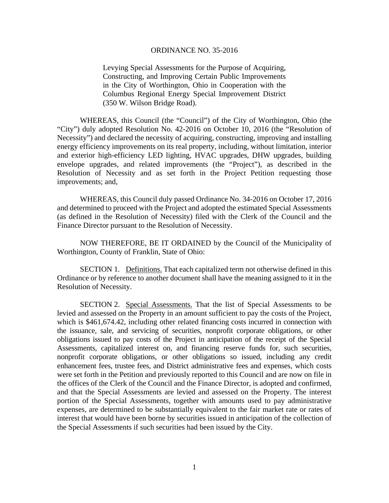#### ORDINANCE NO. 35-2016

Levying Special Assessments for the Purpose of Acquiring, Constructing, and Improving Certain Public Improvements in the City of Worthington, Ohio in Cooperation with the Columbus Regional Energy Special Improvement District (350 W. Wilson Bridge Road).

WHEREAS, this Council (the "Council") of the City of Worthington, Ohio (the "City") duly adopted Resolution No. 42-2016 on October 10, 2016 (the "Resolution of Necessity") and declared the necessity of acquiring, constructing, improving and installing energy efficiency improvements on its real property, including, without limitation, interior and exterior high-efficiency LED lighting, HVAC upgrades, DHW upgrades, building envelope upgrades, and related improvements (the "Project"), as described in the Resolution of Necessity and as set forth in the Project Petition requesting those improvements; and,

WHEREAS, this Council duly passed Ordinance No. 34-2016 on October 17, 2016 and determined to proceed with the Project and adopted the estimated Special Assessments (as defined in the Resolution of Necessity) filed with the Clerk of the Council and the Finance Director pursuant to the Resolution of Necessity.

NOW THEREFORE, BE IT ORDAINED by the Council of the Municipality of Worthington, County of Franklin, State of Ohio:

SECTION 1. Definitions. That each capitalized term not otherwise defined in this Ordinance or by reference to another document shall have the meaning assigned to it in the Resolution of Necessity.

SECTION 2. Special Assessments. That the list of Special Assessments to be levied and assessed on the Property in an amount sufficient to pay the costs of the Project, which is \$461,674.42, including other related financing costs incurred in connection with the issuance, sale, and servicing of securities, nonprofit corporate obligations, or other obligations issued to pay costs of the Project in anticipation of the receipt of the Special Assessments, capitalized interest on, and financing reserve funds for, such securities, nonprofit corporate obligations, or other obligations so issued, including any credit enhancement fees, trustee fees, and District administrative fees and expenses, which costs were set forth in the Petition and previously reported to this Council and are now on file in the offices of the Clerk of the Council and the Finance Director, is adopted and confirmed, and that the Special Assessments are levied and assessed on the Property. The interest portion of the Special Assessments, together with amounts used to pay administrative expenses, are determined to be substantially equivalent to the fair market rate or rates of interest that would have been borne by securities issued in anticipation of the collection of the Special Assessments if such securities had been issued by the City.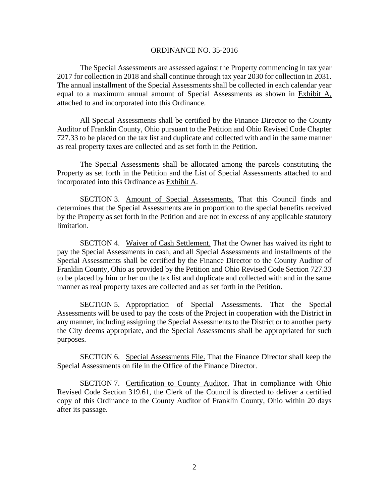#### ORDINANCE NO. 35-2016

The Special Assessments are assessed against the Property commencing in tax year 2017 for collection in 2018 and shall continue through tax year 2030 for collection in 2031. The annual installment of the Special Assessments shall be collected in each calendar year equal to a maximum annual amount of Special Assessments as shown in Exhibit A, attached to and incorporated into this Ordinance.

All Special Assessments shall be certified by the Finance Director to the County Auditor of Franklin County, Ohio pursuant to the Petition and Ohio Revised Code Chapter 727.33 to be placed on the tax list and duplicate and collected with and in the same manner as real property taxes are collected and as set forth in the Petition.

The Special Assessments shall be allocated among the parcels constituting the Property as set forth in the Petition and the List of Special Assessments attached to and incorporated into this Ordinance as Exhibit A.

SECTION 3. Amount of Special Assessments. That this Council finds and determines that the Special Assessments are in proportion to the special benefits received by the Property as set forth in the Petition and are not in excess of any applicable statutory limitation.

SECTION 4. Waiver of Cash Settlement. That the Owner has waived its right to pay the Special Assessments in cash, and all Special Assessments and installments of the Special Assessments shall be certified by the Finance Director to the County Auditor of Franklin County, Ohio as provided by the Petition and Ohio Revised Code Section 727.33 to be placed by him or her on the tax list and duplicate and collected with and in the same manner as real property taxes are collected and as set forth in the Petition.

SECTION 5. Appropriation of Special Assessments. That the Special Assessments will be used to pay the costs of the Project in cooperation with the District in any manner, including assigning the Special Assessments to the District or to another party the City deems appropriate, and the Special Assessments shall be appropriated for such purposes.

SECTION 6. Special Assessments File. That the Finance Director shall keep the Special Assessments on file in the Office of the Finance Director.

SECTION 7. Certification to County Auditor. That in compliance with Ohio Revised Code Section 319.61, the Clerk of the Council is directed to deliver a certified copy of this Ordinance to the County Auditor of Franklin County, Ohio within 20 days after its passage.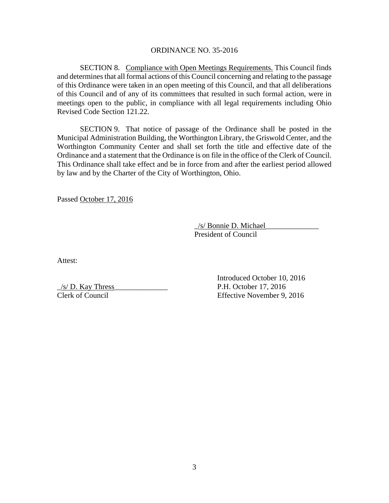### ORDINANCE NO. 35-2016

SECTION 8. Compliance with Open Meetings Requirements. This Council finds and determines that all formal actions of this Council concerning and relating to the passage of this Ordinance were taken in an open meeting of this Council, and that all deliberations of this Council and of any of its committees that resulted in such formal action, were in meetings open to the public, in compliance with all legal requirements including Ohio Revised Code Section 121.22.

SECTION 9. That notice of passage of the Ordinance shall be posted in the Municipal Administration Building, the Worthington Library, the Griswold Center, and the Worthington Community Center and shall set forth the title and effective date of the Ordinance and a statement that the Ordinance is on file in the office of the Clerk of Council. This Ordinance shall take effect and be in force from and after the earliest period allowed by law and by the Charter of the City of Worthington, Ohio.

Passed October 17, 2016

 $\angle$ /s/ Bonnie D. Michael President of Council

Attest:

 $/s/D$ . Kay Thress P.H. October 17, 2016

 Introduced October 10, 2016 Clerk of Council Effective November 9, 2016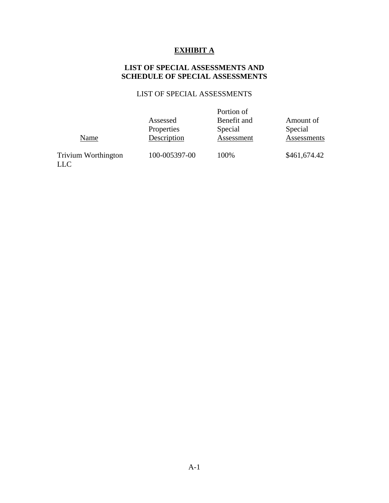# **EXHIBIT A**

## **LIST OF SPECIAL ASSESSMENTS AND SCHEDULE OF SPECIAL ASSESSMENTS**

# LIST OF SPECIAL ASSESSMENTS

|                            |               | Portion of  |              |
|----------------------------|---------------|-------------|--------------|
|                            | Assessed      | Benefit and | Amount of    |
|                            | Properties    | Special     | Special      |
| Name                       | Description   | Assessment  | Assessments  |
|                            | 100-005397-00 | 100%        | \$461,674.42 |
| <b>Trivium Worthington</b> |               |             |              |

LLC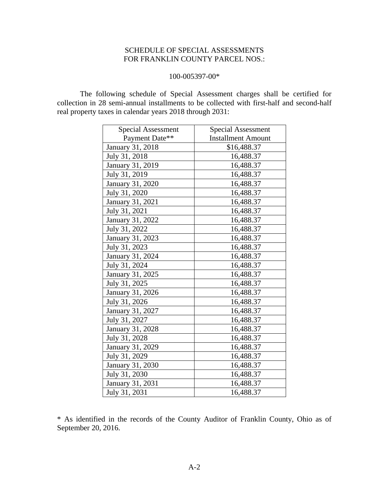## SCHEDULE OF SPECIAL ASSESSMENTS FOR FRANKLIN COUNTY PARCEL NOS.:

### 100-005397-00\*

 The following schedule of Special Assessment charges shall be certified for collection in 28 semi-annual installments to be collected with first-half and second-half real property taxes in calendar years 2018 through 2031:

| <b>Special Assessment</b> | Special Assessment        |  |
|---------------------------|---------------------------|--|
| Payment Date**            | <b>Installment Amount</b> |  |
| January 31, 2018          | \$16,488.37               |  |
| July 31, 2018             | 16,488.37                 |  |
| January 31, 2019          | 16,488.37                 |  |
| July 31, 2019             | 16,488.37                 |  |
| January 31, 2020          | 16,488.37                 |  |
| July 31, 2020             | 16,488.37                 |  |
| January 31, 2021          | 16,488.37                 |  |
| July 31, 2021             | 16,488.37                 |  |
| January 31, 2022          | 16,488.37                 |  |
| July 31, 2022             | 16,488.37                 |  |
| January 31, 2023          | 16,488.37                 |  |
| July 31, 2023             | 16,488.37                 |  |
| January 31, 2024          | 16,488.37                 |  |
| July 31, 2024             | 16,488.37                 |  |
| January 31, 2025          | 16,488.37                 |  |
| July 31, 2025             | 16,488.37                 |  |
| January 31, 2026          | 16,488.37                 |  |
| July 31, 2026             | 16,488.37                 |  |
| January 31, 2027          | 16,488.37                 |  |
| July 31, 2027             | 16,488.37                 |  |
| January 31, 2028          | 16,488.37                 |  |
| July 31, 2028             | 16,488.37                 |  |
| January 31, 2029          | 16,488.37                 |  |
| July 31, 2029             | 16,488.37                 |  |
| January 31, 2030          | 16,488.37                 |  |
| July 31, 2030             | 16,488.37                 |  |
| January 31, 2031          | 16,488.37                 |  |
| July 31, 2031             | 16,488.37                 |  |

\* As identified in the records of the County Auditor of Franklin County, Ohio as of September 20, 2016.